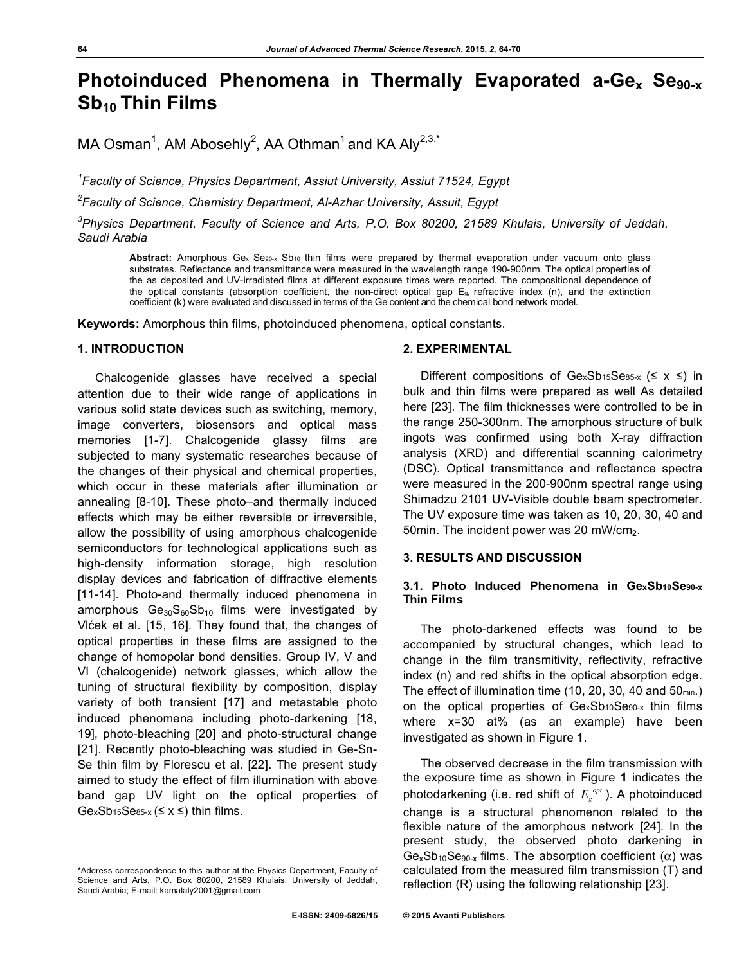# **Photoinduced Phenomena in Thermally Evaporated a-Ge<sub>x</sub> Se<sub>90-x</sub> Sb10 Thin Films**

MA Osman<sup>1</sup>, AM Abosehly<sup>2</sup>, AA Othman<sup>1</sup> and KA Aly<sup>2,3,\*</sup>

*1 Faculty of Science, Physics Department, Assiut University, Assiut 71524, Egypt*

*2 Faculty of Science, Chemistry Department, Al-Azhar University, Assuit, Egypt*

*3 Physics Department, Faculty of Science and Arts, P.O. Box 80200, 21589 Khulais, University of Jeddah, Saudi Arabia*

Abstract: Amorphous Ge<sub>x</sub> Se<sub>90-x</sub> Sb<sub>10</sub> thin films were prepared by thermal evaporation under vacuum onto glass substrates. Reflectance and transmittance were measured in the wavelength range 190-900nm. The optical properties of the as deposited and UV-irradiated films at different exposure times were reported. The compositional dependence of the optical constants (absorption coefficient, the non-direct optical gap Eg, refractive index (n), and the extinction coefficient (k) were evaluated and discussed in terms of the Ge content and the chemical bond network model.

**Keywords:** Amorphous thin films, photoinduced phenomena, optical constants.

## **1. INTRODUCTION**

Chalcogenide glasses have received a special attention due to their wide range of applications in various solid state devices such as switching, memory, image converters, biosensors and optical mass memories [1-7]. Chalcogenide glassy films are subjected to many systematic researches because of the changes of their physical and chemical properties, which occur in these materials after illumination or annealing [8-10]. These photo–and thermally induced effects which may be either reversible or irreversible, allow the possibility of using amorphous chalcogenide semiconductors for technological applications such as high-density information storage, high resolution display devices and fabrication of diffractive elements [11-14]. Photo-and thermally induced phenomena in amorphous  $Ge_{30}S_{60}Sb_{10}$  films were investigated by Vlćek et al. [15, 16]. They found that, the changes of optical properties in these films are assigned to the change of homopolar bond densities. Group IV, V and VI (chalcogenide) network glasses, which allow the tuning of structural flexibility by composition, display variety of both transient [17] and metastable photo induced phenomena including photo-darkening [18, 19], photo-bleaching [20] and photo-structural change [21]. Recently photo-bleaching was studied in Ge-Sn-Se thin film by Florescu et al. [22]. The present study aimed to study the effect of film illumination with above band gap UV light on the optical properties of  $GexSb15Sess_x (\leq x \leq)$  thin films.

## **2. EXPERIMENTAL**

Different compositions of  $GexSb_{15}Se_{85-x}$  ( $\leq x \leq$ ) in bulk and thin films were prepared as well As detailed here [23]. The film thicknesses were controlled to be in the range 250-300nm. The amorphous structure of bulk ingots was confirmed using both X-ray diffraction analysis (XRD) and differential scanning calorimetry (DSC). Optical transmittance and reflectance spectra were measured in the 200-900nm spectral range using Shimadzu 2101 UV-Visible double beam spectrometer. The UV exposure time was taken as 10, 20, 30, 40 and 50min. The incident power was 20 mW/cm<sub>2</sub>.

## **3. RESULTS AND DISCUSSION**

## **3.1. Photo Induced Phenomena in GexSb10Se90-x Thin Films**

The photo-darkened effects was found to be accompanied by structural changes, which lead to change in the film transmitivity, reflectivity, refractive index (n) and red shifts in the optical absorption edge. The effect of illumination time (10, 20, 30, 40 and 50min.) on the optical properties of GexSb10Se90-x thin films where x=30 at% (as an example) have been investigated as shown in Figure **1**.

The observed decrease in the film transmission with the exposure time as shown in Figure **1** indicates the photodarkening (i.e. red shift of  $E_{g}^{opt}$ ). A photoinduced change is a structural phenomenon related to the flexible nature of the amorphous network [24]. In the present study, the observed photo darkening in  $Ge_xSb_{10}Se_{90-x}$  films. The absorption coefficient ( $\alpha$ ) was calculated from the measured film transmission (T) and reflection (R) using the following relationship [23].

<sup>\*</sup>Address correspondence to this author at the Physics Department, Faculty of Science and Arts, P.O. Box 80200, 21589 Khulais, University of Jeddah, Saudi Arabia; E-mail: kamalaly2001@gmail.com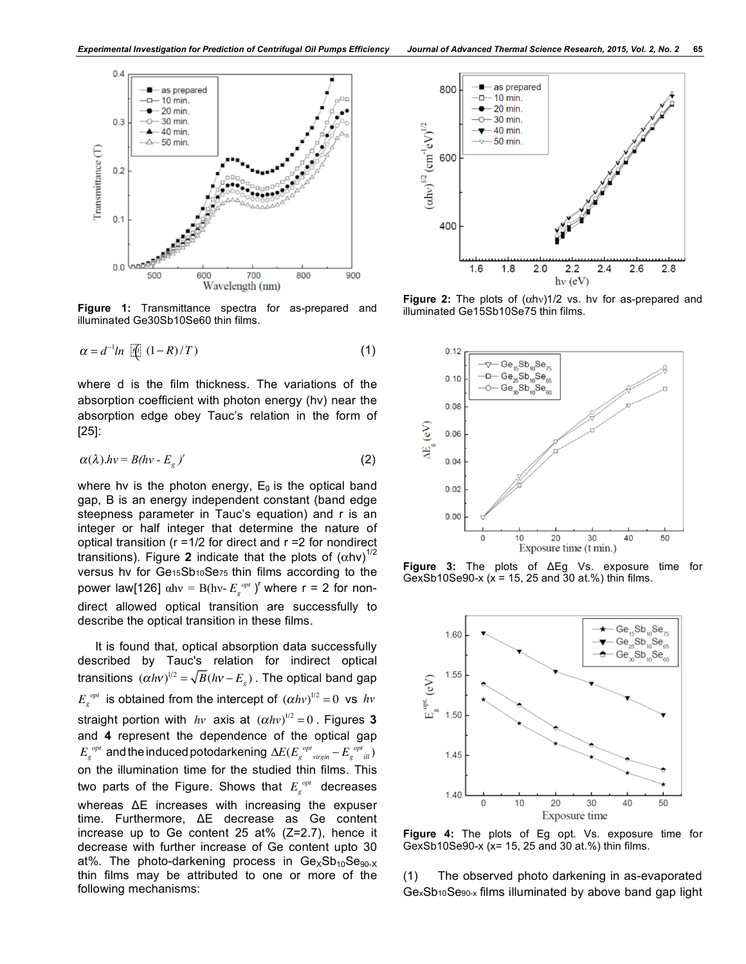

**Figure 1:** Transmittance spectra for as-prepared and illuminated Ge30Sb10Se60 thin films.

$$
\alpha = d^{-1} \ln \left[ \mathbf{f} \right] (1 - R) / T \tag{1}
$$

where d is the film thickness. The variations of the absorption coefficient with photon energy (hν) near the absorption edge obey Tauc's relation in the form of [25]:

$$
\alpha(\lambda).hv = B(hv - E_g)^r \tag{2}
$$

where hy is the photon energy, E<sub>g</sub> is the optical band gap, B is an energy independent constant (band edge steepness parameter in Tauc's equation) and r is an integer or half integer that determine the nature of optical transition ( $r = 1/2$  for direct and  $r = 2$  for nondirect transitions). Figure 2 indicate that the plots of  $(αhv)^{1/2}$ versus hν for Ge15Sb10Se75 thin films according to the power law[126]  $α$ hν = B(hν- $E_g^{opt}$ )<sup>r</sup> where r = 2 for nondirect allowed optical transition are successfully to describe the optical transition in these films.

It is found that, optical absorption data successfully described by Tauc's relation for indirect optical transitions  $(\alpha h v)^{1/2} = \sqrt{B(hv - E_g)}$ . The optical band gap  $E_g^{opt}$  is obtained from the intercept of  $(\alpha h v)^{1/2} = 0$  vs  $h v$ straight portion with  $hv$  axis at  $(\alpha hv)^{1/2} = 0$ . Figures 3 and **4** represent the dependence of the optical gap  $E_{g}^{\quad opt}$  and the induced potodarkening  $\Delta E(E_{g}^{\quad opt}{}_{virgin} - E_{g}^{\quad opt}{}_{ill})$ on the illumination time for the studied thin films. This two parts of the Figure. Shows that  $E_{g}^{opt}$  decreases whereas ΔE increases with increasing the expuser time. Furthermore, ΔE decrease as Ge content increase up to Ge content 25 at%  $(Z=2.7)$ , hence it decrease with further increase of Ge content upto 30 at%. The photo-darkening process in  $Ge_{X}Sb_{10}Se_{90-X}$ thin films may be attributed to one or more of the following mechanisms:



**Figure 2:** The plots of (αhν)1/2 vs. hν for as-prepared and illuminated Ge15Sb10Se75 thin films.



**Figure 3:** The plots of ΔEg Vs. exposure time for GexSb10Se90-x (x = 15, 25 and 30 at.%) thin films.



**Figure 4:** The plots of Eg opt. Vs. exposure time for GexSb10Se90-x (x= 15, 25 and 30 at.%) thin films.

(1) The observed photo darkening in as-evaporated GexSb10Se90-x films illuminated by above band gap light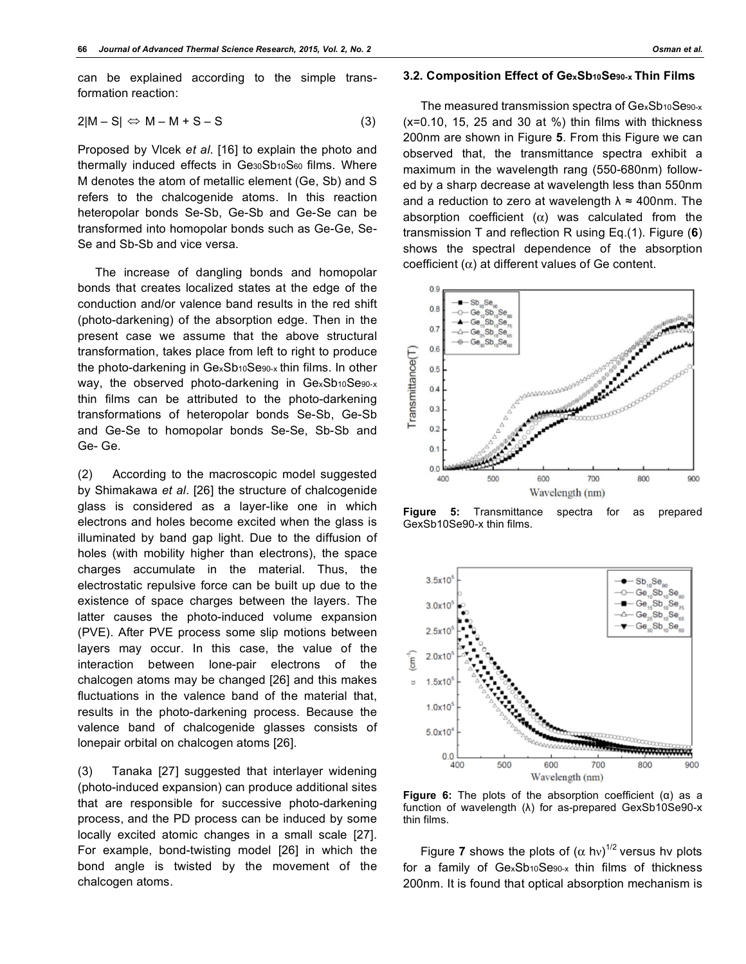can be explained according to the simple transformation reaction:

$$
2|M - S| \Leftrightarrow M - M + S - S \tag{3}
$$

Proposed by Vlcek *et al*. [16] to explain the photo and thermally induced effects in Ge30Sb10S60 films. Where M denotes the atom of metallic element (Ge, Sb) and S refers to the chalcogenide atoms. In this reaction heteropolar bonds Se-Sb, Ge-Sb and Ge-Se can be transformed into homopolar bonds such as Ge-Ge, Se-Se and Sb-Sb and vice versa.

The increase of dangling bonds and homopolar bonds that creates localized states at the edge of the conduction and/or valence band results in the red shift (photo-darkening) of the absorption edge. Then in the present case we assume that the above structural transformation, takes place from left to right to produce the photo-darkening in GexSb10Se90-x thin films. In other way, the observed photo-darkening in GexSb10Se90-x thin films can be attributed to the photo-darkening transformations of heteropolar bonds Se-Sb, Ge-Sb and Ge-Se to homopolar bonds Se-Se, Sb-Sb and Ge- Ge.

(2) According to the macroscopic model suggested by Shimakawa *et al*. [26] the structure of chalcogenide glass is considered as a layer-like one in which electrons and holes become excited when the glass is illuminated by band gap light. Due to the diffusion of holes (with mobility higher than electrons), the space charges accumulate in the material. Thus, the electrostatic repulsive force can be built up due to the existence of space charges between the layers. The latter causes the photo-induced volume expansion (PVE). After PVE process some slip motions between layers may occur. In this case, the value of the interaction between lone-pair electrons of the chalcogen atoms may be changed [26] and this makes fluctuations in the valence band of the material that, results in the photo-darkening process. Because the valence band of chalcogenide glasses consists of lonepair orbital on chalcogen atoms [26].

(3) Tanaka [27] suggested that interlayer widening (photo-induced expansion) can produce additional sites that are responsible for successive photo-darkening process, and the PD process can be induced by some locally excited atomic changes in a small scale [27]. For example, bond-twisting model [26] in which the bond angle is twisted by the movement of the chalcogen atoms.

## **3.2. Composition Effect of GexSb10Se90-x Thin Films**

The measured transmission spectra of GexSb10Se90-x  $(x=0.10, 15, 25, and 30, at \%)$  thin films with thickness 200nm are shown in Figure **5**. From this Figure we can observed that, the transmittance spectra exhibit a maximum in the wavelength rang (550-680nm) followed by a sharp decrease at wavelength less than 550nm and a reduction to zero at wavelength  $\lambda \approx 400$ nm. The absorption coefficient  $(\alpha)$  was calculated from the transmission T and reflection R using Eq.(1). Figure (**6**) shows the spectral dependence of the absorption coefficient (α) at different values of Ge content.



**Figure 5:** Transmittance spectra for as prepared GexSb10Se90-x thin films.



**Figure 6:** The plots of the absorption coefficient (α) as a function of wavelength (λ) for as-prepared GexSb10Se90-x thin films.

Figure **7** shows the plots of  $(\alpha \text{ hv})^{1/2}$  versus hv plots for a family of GexSb10Se90-x thin films of thickness 200nm. It is found that optical absorption mechanism is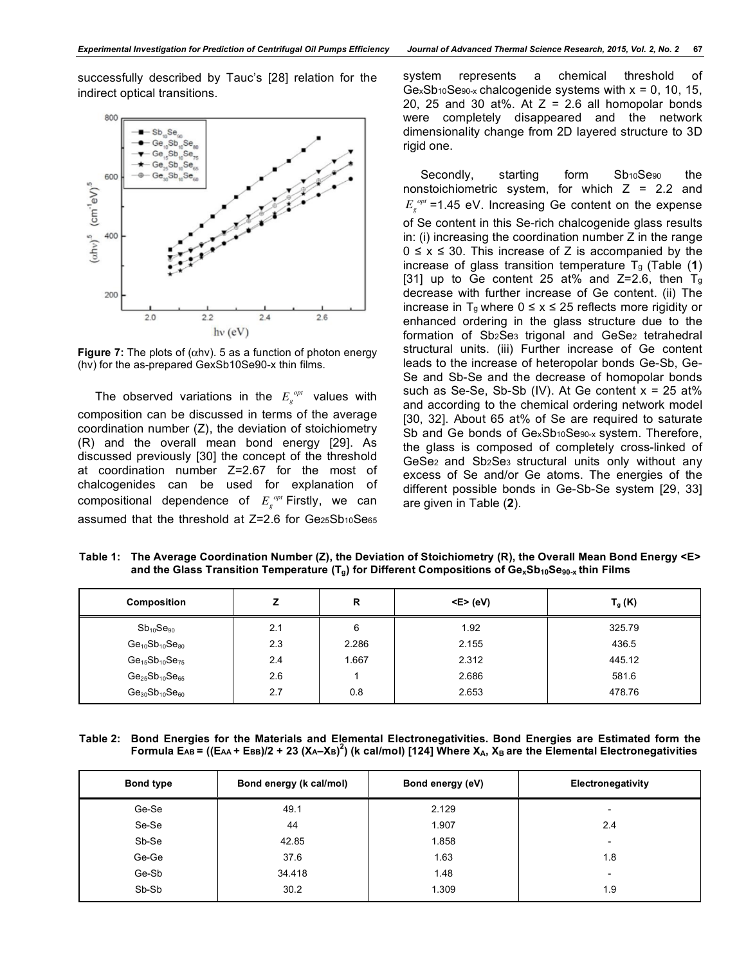successfully described by Tauc's [28] relation for the indirect optical transitions.



**Figure 7:** The plots of (αhν). 5 as a function of photon energy (hν) for the as-prepared GexSb10Se90-x thin films.

The observed variations in the  $E_g^{opt}$  values with composition can be discussed in terms of the average coordination number (Z), the deviation of stoichiometry (R) and the overall mean bond energy [29]. As discussed previously [30] the concept of the threshold at coordination number Z=2.67 for the most of chalcogenides can be used for explanation of  $\substack{\text{compositional} \text{ dependence} \text{ of } E_{g}^{\text{ \tiny \it opt}}$ Firstly, we can}$ assumed that the threshold at Z=2.6 for Ge25Sb10Se65

system represents a chemical threshold of  $GexSb10Sess$  chalcogenide systems with  $x = 0$ , 10, 15, 20, 25 and 30 at%. At  $Z = 2.6$  all homopolar bonds were completely disappeared and the network dimensionality change from 2D layered structure to 3D rigid one.

Secondly, starting form Sb10Se90 the nonstoichiometric system, for which  $Z = 2.2$  and *Eg opt* =1.45 eV. Increasing Ge content on the expense of Se content in this Se-rich chalcogenide glass results in: (i) increasing the coordination number Z in the range  $0 \le x \le 30$ . This increase of Z is accompanied by the increase of glass transition temperature Tg (Table (**1**) [31] up to Ge content 25 at% and  $Z=2.6$ , then  $T_q$ decrease with further increase of Ge content. (ii) The increase in T<sub>g</sub> where  $0 \le x \le 25$  reflects more rigidity or enhanced ordering in the glass structure due to the formation of Sb2Se3 trigonal and GeSe2 tetrahedral structural units. (iii) Further increase of Ge content leads to the increase of heteropolar bonds Ge-Sb, Ge-Se and Sb-Se and the decrease of homopolar bonds such as Se-Se, Sb-Sb (IV). At Ge content  $x = 25$  at% and according to the chemical ordering network model [30, 32]. About 65 at% of Se are required to saturate Sb and Ge bonds of GexSb<sub>10</sub>Se<sub>90-x</sub> system. Therefore, the glass is composed of completely cross-linked of GeSe2 and Sb2Se3 structural units only without any excess of Se and/or Ge atoms. The energies of the different possible bonds in Ge-Sb-Se system [29, 33] are given in Table (**2**).

**Table 1: The Average Coordination Number (Z), the Deviation of Stoichiometry (R), the Overall Mean Bond Energy <E>**  and the Glass Transition Temperature (T<sub>g</sub>) for Different Compositions of Ge<sub>x</sub>Sb<sub>10</sub>Se<sub>90-x</sub> thin Films

| Composition             |     | R     | $< E$ > (eV) | $T_g(K)$ |
|-------------------------|-----|-------|--------------|----------|
| $Sb_{10}Se_{90}$        | 2.1 | 6     | 1.92         | 325.79   |
| $Ge_{10}Sb_{10}Se_{80}$ | 2.3 | 2.286 | 2.155        | 436.5    |
| $Ge_{15}Sb_{10}Se_{75}$ | 2.4 | 1.667 | 2.312        | 445.12   |
| $Ge_{25}Sb_{10}Se_{65}$ | 2.6 |       | 2.686        | 581.6    |
| $Ge_{30}Sb_{10}Se_{60}$ | 2.7 | 0.8   | 2.653        | 478.76   |

**Table 2: Bond Energies for the Materials and Elemental Electronegativities. Bond Energies are Estimated form the Formula EAB = ((EAA + EBB)/2 + 23 (XA–XB) 2 ) (k cal/mol) [124] Where XA, XB are the Elemental Electronegativities**

| <b>Bond type</b> | Bond energy (k cal/mol) | Bond energy (eV) | Electronegativity        |
|------------------|-------------------------|------------------|--------------------------|
| Ge-Se            | 49.1                    | 2.129            | $\overline{\phantom{0}}$ |
| Se-Se            | 44                      | 1.907            | 2.4                      |
| Sb-Se            | 42.85                   | 1.858            | $\overline{\phantom{a}}$ |
| Ge-Ge            | 37.6                    | 1.63             | 1.8                      |
| Ge-Sb            | 34.418                  | 1.48             | $\overline{\phantom{a}}$ |
| Sb-Sb            | 30.2                    | 1.309            | 1.9                      |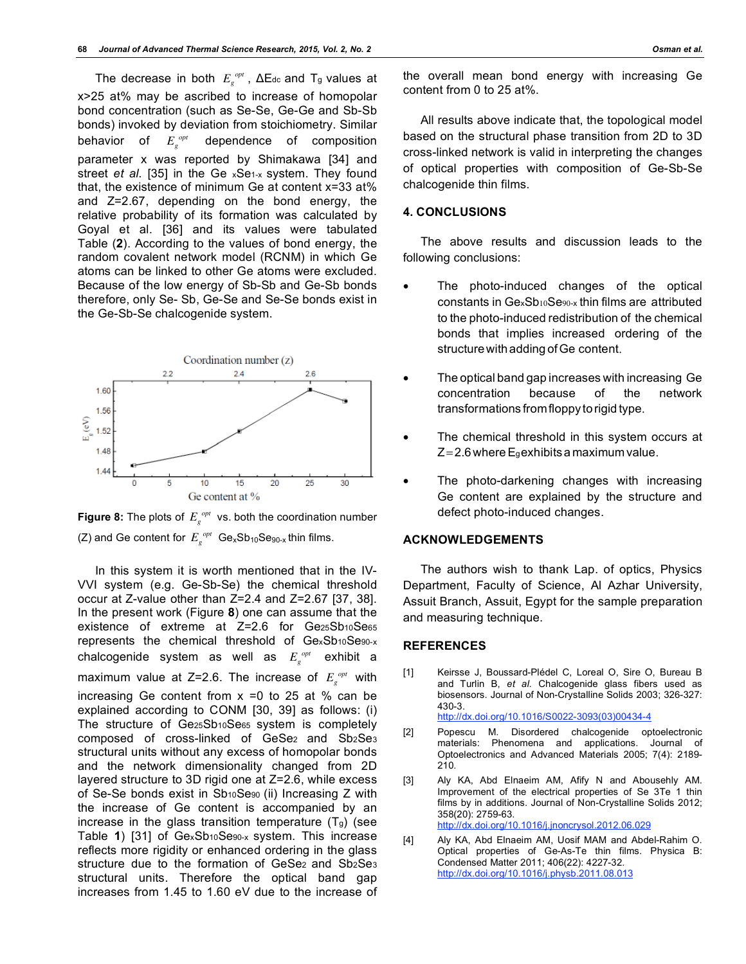The decrease in both  $E_g^{opt}$ , ΔE<sub>dc</sub> and T<sub>g</sub> values at x>25 at% may be ascribed to increase of homopolar bond concentration (such as Se-Se, Ge-Ge and Sb-Sb bonds) invoked by deviation from stoichiometry. Similar behavior of  $E_g^{opt}$ dependence of composition parameter x was reported by Shimakawa [34] and street *et al*. [35] in the Ge xSe1-x system. They found that, the existence of minimum Ge at content x=33 at% and Z=2.67, depending on the bond energy, the relative probability of its formation was calculated by Goyal et al. [36] and its values were tabulated Table (**2**). According to the values of bond energy, the random covalent network model (RCNM) in which Ge atoms can be linked to other Ge atoms were excluded. Because of the low energy of Sb-Sb and Ge-Sb bonds therefore, only Se- Sb, Ge-Se and Se-Se bonds exist in the Ge-Sb-Se chalcogenide system.





In this system it is worth mentioned that in the IV-VVI system (e.g. Ge-Sb-Se) the chemical threshold occur at Z-value other than Z=2.4 and Z=2.67 [37, 38]. In the present work (Figure **8**) one can assume that the existence of extreme at Z=2.6 for Ge25Sb10Se65 represents the chemical threshold of GexSb10Se90-x chalcogenide system as well as  $E_{_S}^{\;\; opt}$  exhibit a maximum value at Z=2.6. The increase of  $E_g^{opt}$  with increasing Ge content from  $x = 0$  to 25 at % can be explained according to CONM [30, 39] as follows: (i) The structure of Ge25Sb10Se65 system is completely composed of cross-linked of GeSe<sub>2</sub> and Sb<sub>2</sub>Se<sub>3</sub> structural units without any excess of homopolar bonds and the network dimensionality changed from 2D layered structure to 3D rigid one at Z=2.6, while excess of Se-Se bonds exist in Sb10Se90 (ii) Increasing Z with the increase of Ge content is accompanied by an increase in the glass transition temperature  $(T<sub>g</sub>)$  (see Table **1**) [31] of GexSb10Se90-x system. This increase reflects more rigidity or enhanced ordering in the glass structure due to the formation of GeSe<sub>2</sub> and Sb<sub>2</sub>Se<sub>3</sub> structural units. Therefore the optical band gap increases from 1.45 to 1.60 eV due to the increase of

the overall mean bond energy with increasing Ge content from 0 to 25 at%.

All results above indicate that, the topological model based on the structural phase transition from 2D to 3D cross-linked network is valid in interpreting the changes of optical properties with composition of Ge-Sb-Se chalcogenide thin films.

## **4. CONCLUSIONS**

The above results and discussion leads to the following conclusions:

- The photo-induced changes of the optical constants in GexSb10Se90-x thin films are attributed to the photo-induced redistribution of the chemical bonds that implies increased ordering of the structure with adding of Ge content.
- The optical band gap increases with increasing Ge concentration because of the network transformations fromfloppy torigid type.
- The chemical threshold in this system occurs at  $Z = 2.6$  where Egexhibits a maximum value.
- The photo-darkening changes with increasing Ge content are explained by the structure and defect photo-induced changes.

## **ACKNOWLEDGEMENTS**

The authors wish to thank Lap. of optics, Physics Department, Faculty of Science, Al Azhar University, Assuit Branch, Assuit, Egypt for the sample preparation and measuring technique.

## **REFERENCES**

- [1] Keirsse J, Boussard-Plédel C, Loreal O, Sire O, Bureau B and Turlin B, *et al*. Chalcogenide glass fibers used as biosensors. Journal of Non-Crystalline Solids 2003; 326-327: 430-3. http://dx.doi.org/10.1016/S0022-3093(03)00434-4
- [2] Popescu M. Disordered chalcogenide optoelectronic materials: Phenomena and applications. Journal of Optoelectronics and Advanced Materials 2005; 7(4): 2189- 210.
- [3] Aly KA, Abd Elnaeim AM, Afify N and Abousehly AM. Improvement of the electrical properties of Se 3Te 1 thin films by in additions. Journal of Non-Crystalline Solids 2012; 358(20): 2759-63. http://dx.doi.org/10.1016/j.jnoncrysol.2012.06.029
- [4] Aly KA, Abd Elnaeim AM, Uosif MAM and Abdel-Rahim O. Optical properties of Ge-As-Te thin films. Physica B: Condensed Matter 2011; 406(22): 4227-32. http://dx.doi.org/10.1016/j.physb.2011.08.013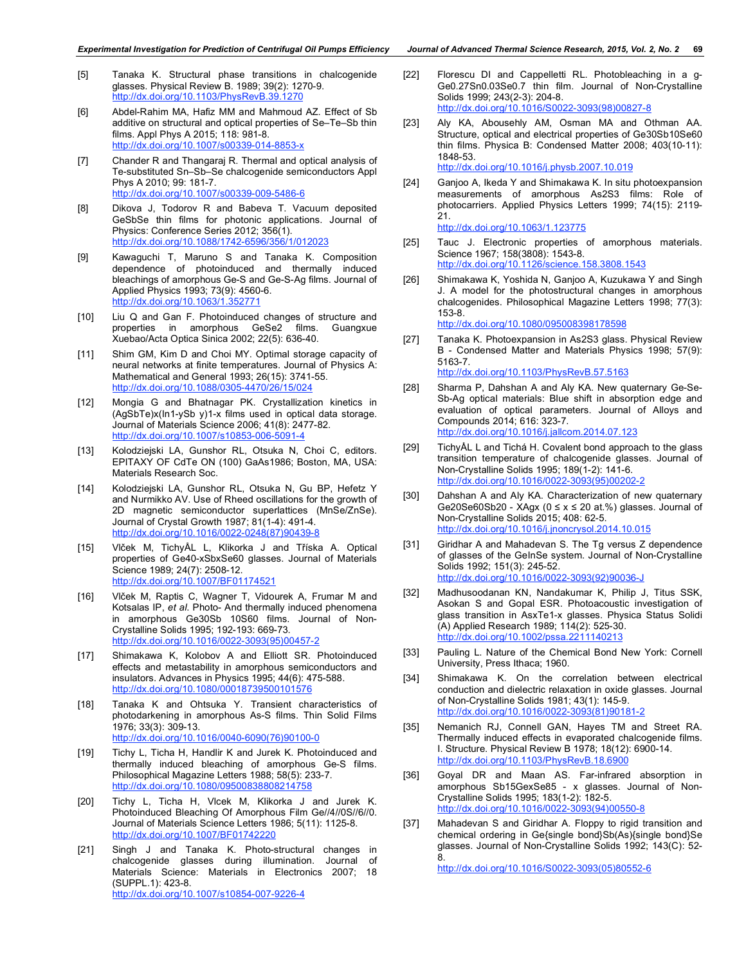- [5] Tanaka K. Structural phase transitions in chalcogenide glasses. Physical Review B. 1989; 39(2): 1270-9. http://dx.doi.org/10.1103/PhysRevB.39.1270
- [6] Abdel-Rahim MA, Hafiz MM and Mahmoud AZ. Effect of Sb additive on structural and optical properties of Se–Te–Sb thin films. Appl Phys A 2015; 118: 981-8. http://dx.doi.org/10.1007/s00339-014-8853-x
- [7] Chander R and Thangaraj R. Thermal and optical analysis of Te-substituted Sn–Sb–Se chalcogenide semiconductors Appl Phys A 2010; 99: 181-7. http://dx.doi.org/10.1007/s00339-009-5486-6
- [8] Dikova J, Todorov R and Babeva T. Vacuum deposited GeSbSe thin films for photonic applications. Journal of Physics: Conference Series 2012; 356(1). http://dx.doi.org/10.1088/1742-6596/356/1/012023
- [9] Kawaguchi T, Maruno S and Tanaka K. Composition dependence of photoinduced and thermally induced bleachings of amorphous Ge-S and Ge-S-Ag films. Journal of Applied Physics 1993; 73(9): 4560-6. http://dx.doi.org/10.1063/1.352771
- [10] Liu Q and Gan F. Photoinduced changes of structure and properties in amorphous GeSe2 films. Guangxue Xuebao/Acta Optica Sinica 2002; 22(5): 636-40.
- [11] Shim GM, Kim D and Choi MY. Optimal storage capacity of neural networks at finite temperatures. Journal of Physics A: Mathematical and General 1993; 26(15): 3741-55. http://dx.doi.org/10.1088/0305-4470/26/15/024
- [12] Mongia G and Bhatnagar PK. Crystallization kinetics in (AgSbTe)x(In1-ySb y)1-x films used in optical data storage. Journal of Materials Science 2006; 41(8): 2477-82. http://dx.doi.org/10.1007/s10853-006
- [13] Kolodziejski LA, Gunshor RL, Otsuka N, Choi C, editors. EPITAXY OF CdTe ON (100) GaAs1986; Boston, MA, USA: Materials Research Soc.
- [14] Kolodziejski LA, Gunshor RL, Otsuka N, Gu BP, Hefetz Y and Nurmikko AV. Use of Rheed oscillations for the growth of 2D magnetic semiconductor superlattices (MnSe/ZnSe). Journal of Crystal Growth 1987; 81(1-4): 491-4. http://dx.doi.org/10.1016/0022-0248(87)90439-8
- [15] Vlček M, TichyÅL L, Klikorka J and Tříska A. Optical properties of Ge40-xSbxSe60 glasses. Journal of Materials Science 1989; 24(7): 2508-12. http://dx.doi.org/10.1007/BF01174521
- [16] Vlček M, Raptis C, Wagner T, Vidourek A, Frumar M and Kotsalas IP, *et al*. Photo- And thermally induced phenomena in amorphous Ge30Sb 10S60 films. Journal of Non-Crystalline Solids 1995; 192-193: 669-73. http://dx.doi.org/10.1016/0022-3093(95)00457-2
- [17] Shimakawa K, Kolobov A and Elliott SR. Photoinduced effects and metastability in amorphous semiconductors and insulators. Advances in Physics 1995; 44(6): 475-588. http://dx.doi.org/10.1080/00018739500101576
- [18] Tanaka K and Ohtsuka Y. Transient characteristics of photodarkening in amorphous As-S films. Thin Solid Films 1976; 33(3): 309-13. http://dx.doi.org/10.1016/0040-6090(76)90100-0
- [19] Tichy L, Ticha H, Handlir K and Jurek K, Photoinduced and thermally induced bleaching of amorphous Ge-S films. Philosophical Magazine Letters 1988; 58(5): 233-7. http://dx.doi.org/10.1080/09500838808214758
- [20] Tichy L, Ticha H, Vlcek M, Klikorka J and Jurek K. Photoinduced Bleaching Of Amorphous Film Ge//4//0S//6//0. Journal of Materials Science Letters 1986; 5(11): 1125-8. http://dx.doi.org/10.1007/BF01742220
- [21] Singh J and Tanaka K. Photo-structural changes in chalcogenide glasses during illumination. Journal of Materials Science: Materials in Electronics 2007; 18 (SUPPL.1): 423-8. http://dx.doi.org/10.1007/s10854-007-9226-4
- [22] Florescu DI and Cappelletti RL. Photobleaching in a q-Ge0.27Sn0.03Se0.7 thin film. Journal of Non-Crystalline Solids 1999; 243(2-3): 204-8. http://dx.doi.org/10.1016/S0022-3093(98)00827-8
- [23] Aly KA, Abousehly AM, Osman MA and Othman AA. Structure, optical and electrical properties of Ge30Sb10Se60 thin films. Physica B: Condensed Matter 2008; 403(10-11): 1848-53. http://dx.doi.org/10.1016/j.physb.2007.10.019
- [24] Ganjoo A, Ikeda Y and Shimakawa K. In situ photoexpansion measurements of amorphous As2S3 films: Role of photocarriers. Applied Physics Letters 1999; 74(15): 2119- 21.

http://dx.doi.org/10.1063/1.123775

- [25] Tauc J. Electronic properties of amorphous materials. Science 1967; 158(3808): 1543-8. http://dx.doi.org/10.1126/science.158.3808.1543
- [26] Shimakawa K, Yoshida N, Ganjoo A, Kuzukawa Y and Singh J. A model for the photostructural changes in amorphous chalcogenides. Philosophical Magazine Letters 1998; 77(3): 153-8. http://dx.doi.org/10.1080/095008398178598

- [27] Tanaka K. Photoexpansion in As2S3 glass. Physical Review B - Condensed Matter and Materials Physics 1998; 57(9): 5163-7. http://dx.doi.org/10.1103/PhysRevB.57.5163
- [28] Sharma P, Dahshan A and Aly KA. New quaternary Ge-Se-Sb-Ag optical materials: Blue shift in absorption edge and evaluation of optical parameters. Journal of Alloys and Compounds 2014; 616: 323-7. http://dx.doi.org/10.1016/j.jallcom.2014.07.123
- [29] TichyÅL L and Tichá H. Covalent bond approach to the glass transition temperature of chalcogenide glasses. Journal of Non-Crystalline Solids 1995; 189(1-2): 141-6. http://dx.doi.org/10.1016/0022-3093(95)00202-2
- [30] Dahshan A and Aly KA. Characterization of new quaternary Ge20Se60Sb20 - XAgx ( $0 \le x \le 20$  at.%) glasses. Journal of Non-Crystalline Solids 2015; 408: 62-5. http://dx.doi.org/10.1016/j.jnoncrysol.2014.10.015
- [31] Giridhar A and Mahadevan S. The Tg versus Z dependence of glasses of the GeInSe system. Journal of Non-Crystalline Solids 1992; 151(3): 245-52. http://dx.doi.org/10.1016/0022-3093(92)90036-J
- [32] Madhusoodanan KN, Nandakumar K, Philip J, Titus SSK, Asokan S and Gopal ESR. Photoacoustic investigation of glass transition in AsxTe1-x glasses. Physica Status Solidi (A) Applied Research 1989; 114(2): 525-30. http://dx.doi.org/10.1002/pssa.2211140213
- [33] Pauling L. Nature of the Chemical Bond New York: Cornell University, Press Ithaca; 1960.
- [34] Shimakawa K. On the correlation between electrical conduction and dielectric relaxation in oxide glasses. Journal of Non-Crystalline Solids 1981; 43(1): 145-9. http://dx.doi.org/10.1016/0022-3093(81)90181-2
- [35] Nemanich RJ, Connell GAN, Hayes TM and Street RA. Thermally induced effects in evaporated chalcogenide films. I. Structure. Physical Review B 1978; 18(12): 6900-14. http://dx.doi.org/10.1103/PhysRevB.18.6900
- [36] Goyal DR and Maan AS. Far-infrared absorption in amorphous Sb15GexSe85 - x glasses. Journal of Non-Crystalline Solids 1995; 183(1-2): 182-5.<br>http://dx.doi.org/10.1016/0022-3093(94)00550-8 http://dx.doi.org/10.1016/0022
- [37] Mahadevan S and Giridhar A. Floppy to rigid transition and chemical ordering in Ge{single bond}Sb(As){single bond}Se glasses. Journal of Non-Crystalline Solids 1992; 143(C): 52- 8.

http://dx.doi.org/10.1016/S0022-3093(05)80552-6